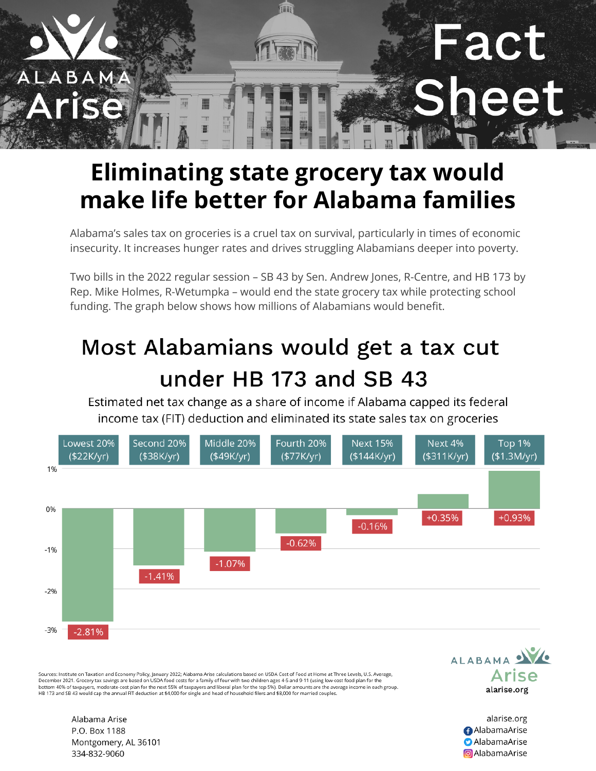

## **Eliminating state grocery tax would make life better for Alabama families**

Alabama's sales tax on groceries is a cruel tax on survival, particularly in times of economic insecurity. It increases hunger rates and drives struggling Alabamians deeper into poverty.

Two bills in the 2022 regular session – SB 43 by Sen. Andrew Jones, R-Centre, and HB 173 by Rep. Mike Holmes, R-Wetumpka – would end the state grocery tax while protecting school funding. The graph below shows how millions of Alabamians would benefit.

## Most Alabamians would get a tax cut under HB 173 and SB 43

Estimated net tax change as a share of income if Alabama capped its federal income tax (FIT) deduction and eliminated its state sales tax on groceries



Sources: Institute on Taxation and Economy Policy, January 2022; Alabama Arise calculations based on USDA Cost of Food at Home at Three Levels, U.S. Average, December 2021. Grocery tax savings are based on USDA food costs for a family of four with two children ages 4-5 and 9-11 (using low-cost food plan for the bottom 40% of taxpayers, moderate-cost plan for the next 55% of tax HB 173 and SB 43 would cap the annual FIT deduction at \$4,000 for single and head of household filers and \$8,000 for married couples.



alarise.org **AlabamaArise D** AlabamaArise **a** AlabamaArise

Alabama Arise P.O. Box 1188 Montgomery, AL 36101 334-832-9060